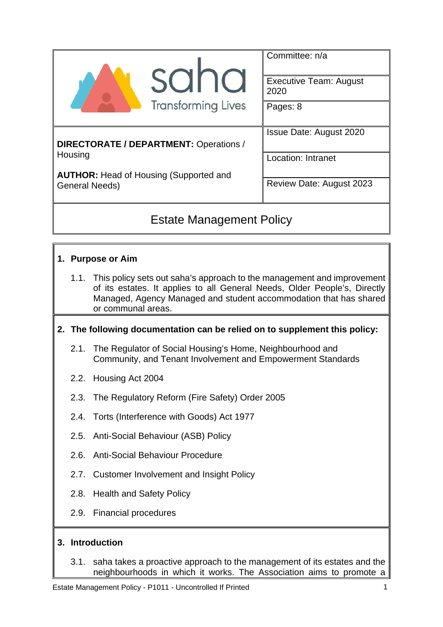|                                                          | Committee: n/a<br><b>Executive Team: August</b><br>2020 |  |  |
|----------------------------------------------------------|---------------------------------------------------------|--|--|
| <b>SUI</b>                                               |                                                         |  |  |
| <b>Transforming Lives</b>                                | Pages: 8                                                |  |  |
| DIRECTORATE / DEPARTMENT: Operations /                   | <b>Issue Date: August 2020</b>                          |  |  |
| Housing<br><b>AUTHOR:</b> Head of Housing (Supported and | <b>Location: Intranet</b>                               |  |  |
| <b>General Needs)</b>                                    | Review Date: August 2023                                |  |  |
|                                                          |                                                         |  |  |

# Estate Management Policy

## **1. Purpose or Aim**

1.1. This policy sets out saha's approach to the management and improvement of its estates. It applies to all General Needs, Older People's, Directly Managed, Agency Managed and student accommodation that has shared or communal areas.

#### **2. The following documentation can be relied on to supplement this policy:**

- 2.1. The Regulator of Social Housing's Home, Neighbourhood and Community, and Tenant Involvement and Empowerment Standards
- 2.2. Housing Act 2004
- 2.3. The Regulatory Reform (Fire Safety) Order 2005
- 2.4. Torts (Interference with Goods) Act 1977
- 2.5. Anti-Social Behaviour (ASB) Policy
- 2.6. Anti-Social Behaviour Procedure
- 2.7. Customer Involvement and Insight Policy
- 2.8. Health and Safety Policy
- 2.9. Financial procedures

#### **3. Introduction**

3.1. saha takes a proactive approach to the management of its estates and the neighbourhoods in which it works. The Association aims to promote a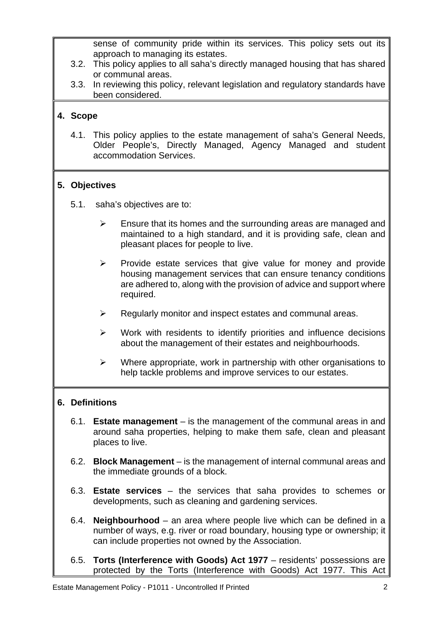sense of community pride within its services. This policy sets out its approach to managing its estates.

- 3.2. This policy applies to all saha's directly managed housing that has shared or communal areas.
- 3.3. In reviewing this policy, relevant legislation and regulatory standards have been considered.

#### **4. Scope**

4.1. This policy applies to the estate management of saha's General Needs, Older People's, Directly Managed, Agency Managed and student accommodation Services.

#### **5. Objectives**

- 5.1. saha's objectives are to:
	- $\triangleright$  Ensure that its homes and the surrounding areas are managed and maintained to a high standard, and it is providing safe, clean and pleasant places for people to live.
	- $\triangleright$  Provide estate services that give value for money and provide housing management services that can ensure tenancy conditions are adhered to, along with the provision of advice and support where required.
	- $\triangleright$  Regularly monitor and inspect estates and communal areas.
	- $\triangleright$  Work with residents to identify priorities and influence decisions about the management of their estates and neighbourhoods.
	- $\triangleright$  Where appropriate, work in partnership with other organisations to help tackle problems and improve services to our estates.

#### **6. Definitions**

- 6.1. **Estate management** is the management of the communal areas in and around saha properties, helping to make them safe, clean and pleasant places to live.
- 6.2. **Block Management** is the management of internal communal areas and the immediate grounds of a block.
- 6.3. **Estate services** the services that saha provides to schemes or developments, such as cleaning and gardening services.
- 6.4. **Neighbourhood** an area where people live which can be defined in a number of ways, e.g. river or road boundary, housing type or ownership; it can include properties not owned by the Association.
- 6.5. **Torts (Interference with Goods) Act 1977** residents' possessions are protected by the Torts (Interference with Goods) Act 1977. This Act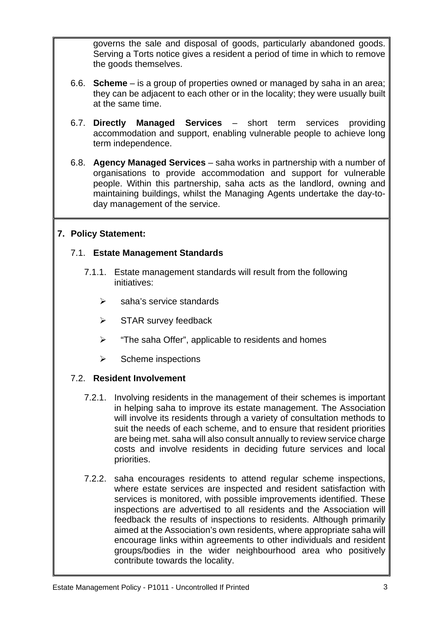governs the sale and disposal of goods, particularly abandoned goods. Serving a Torts notice gives a resident a period of time in which to remove the goods themselves.

- 6.6. **Scheme**  is a group of properties owned or managed by saha in an area; they can be adjacent to each other or in the locality; they were usually built at the same time.
- 6.7. **Directly Managed Services** short term services providing accommodation and support, enabling vulnerable people to achieve long term independence.
- 6.8. **Agency Managed Services** saha works in partnership with a number of organisations to provide accommodation and support for vulnerable people. Within this partnership, saha acts as the landlord, owning and maintaining buildings, whilst the Managing Agents undertake the day-today management of the service.

## **7. Policy Statement:**

#### 7.1. **Estate Management Standards**

- 7.1.1. Estate management standards will result from the following initiatives:
	- $\triangleright$  saha's service standards
	- $\triangleright$  STAR survey feedback
	- $\triangleright$  "The saha Offer", applicable to residents and homes
	- $\triangleright$  Scheme inspections

## 7.2. **Resident Involvement**

- 7.2.1. Involving residents in the management of their schemes is important in helping saha to improve its estate management. The Association will involve its residents through a variety of consultation methods to suit the needs of each scheme, and to ensure that resident priorities are being met. saha will also consult annually to review service charge costs and involve residents in deciding future services and local priorities.
- 7.2.2. saha encourages residents to attend regular scheme inspections, where estate services are inspected and resident satisfaction with services is monitored, with possible improvements identified. These inspections are advertised to all residents and the Association will feedback the results of inspections to residents. Although primarily aimed at the Association's own residents, where appropriate saha will encourage links within agreements to other individuals and resident groups/bodies in the wider neighbourhood area who positively contribute towards the locality.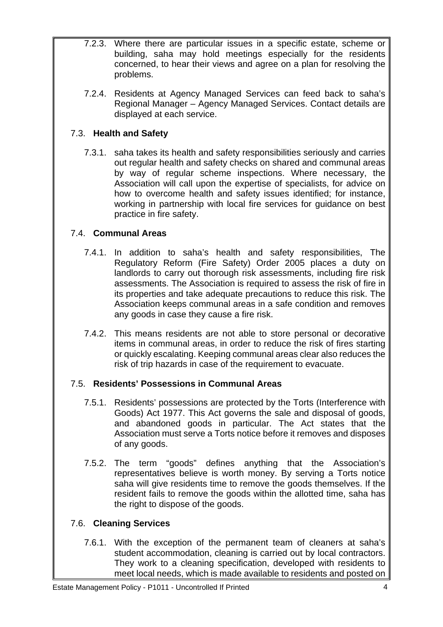- 7.2.3. Where there are particular issues in a specific estate, scheme or building, saha may hold meetings especially for the residents concerned, to hear their views and agree on a plan for resolving the problems.
- 7.2.4. Residents at Agency Managed Services can feed back to saha's Regional Manager – Agency Managed Services. Contact details are displayed at each service.

## 7.3. **Health and Safety**

7.3.1. saha takes its health and safety responsibilities seriously and carries out regular health and safety checks on shared and communal areas by way of regular scheme inspections. Where necessary, the Association will call upon the expertise of specialists, for advice on how to overcome health and safety issues identified; for instance, working in partnership with local fire services for guidance on best practice in fire safety.

# 7.4. **Communal Areas**

- 7.4.1. In addition to saha's health and safety responsibilities, The Regulatory Reform (Fire Safety) Order 2005 places a duty on landlords to carry out thorough risk assessments, including fire risk assessments. The Association is required to assess the risk of fire in its properties and take adequate precautions to reduce this risk. The Association keeps communal areas in a safe condition and removes any goods in case they cause a fire risk.
- 7.4.2. This means residents are not able to store personal or decorative items in communal areas, in order to reduce the risk of fires starting or quickly escalating. Keeping communal areas clear also reduces the risk of trip hazards in case of the requirement to evacuate.

## 7.5. **Residents' Possessions in Communal Areas**

- 7.5.1. Residents' possessions are protected by the Torts (Interference with Goods) Act 1977. This Act governs the sale and disposal of goods, and abandoned goods in particular. The Act states that the Association must serve a Torts notice before it removes and disposes of any goods.
- 7.5.2. The term "goods" defines anything that the Association's representatives believe is worth money. By serving a Torts notice saha will give residents time to remove the goods themselves. If the resident fails to remove the goods within the allotted time, saha has the right to dispose of the goods.

## 7.6. **Cleaning Services**

7.6.1. With the exception of the permanent team of cleaners at saha's student accommodation, cleaning is carried out by local contractors. They work to a cleaning specification, developed with residents to meet local needs, which is made available to residents and posted on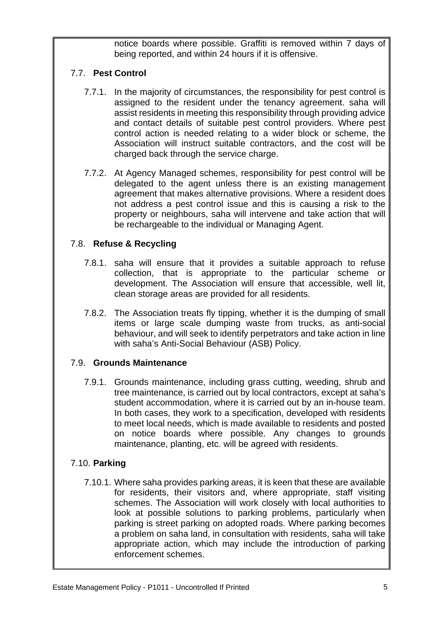notice boards where possible. Graffiti is removed within 7 days of being reported, and within 24 hours if it is offensive.

#### 7.7. **Pest Control**

- 7.7.1. In the majority of circumstances, the responsibility for pest control is assigned to the resident under the tenancy agreement. saha will assist residents in meeting this responsibility through providing advice and contact details of suitable pest control providers. Where pest control action is needed relating to a wider block or scheme, the Association will instruct suitable contractors, and the cost will be charged back through the service charge.
- 7.7.2. At Agency Managed schemes, responsibility for pest control will be delegated to the agent unless there is an existing management agreement that makes alternative provisions. Where a resident does not address a pest control issue and this is causing a risk to the property or neighbours, saha will intervene and take action that will be rechargeable to the individual or Managing Agent.

## 7.8. **Refuse & Recycling**

- 7.8.1. saha will ensure that it provides a suitable approach to refuse collection, that is appropriate to the particular scheme or development. The Association will ensure that accessible, well lit, clean storage areas are provided for all residents.
- 7.8.2. The Association treats fly tipping, whether it is the dumping of small items or large scale dumping waste from trucks, as anti-social behaviour, and will seek to identify perpetrators and take action in line with saha's Anti-Social Behaviour (ASB) Policy.

#### 7.9. **Grounds Maintenance**

7.9.1. Grounds maintenance, including grass cutting, weeding, shrub and tree maintenance, is carried out by local contractors, except at saha's student accommodation, where it is carried out by an in-house team. In both cases, they work to a specification, developed with residents to meet local needs, which is made available to residents and posted on notice boards where possible. Any changes to grounds maintenance, planting, etc. will be agreed with residents.

#### 7.10. **Parking**

7.10.1. Where saha provides parking areas, it is keen that these are available for residents, their visitors and, where appropriate, staff visiting schemes. The Association will work closely with local authorities to look at possible solutions to parking problems, particularly when parking is street parking on adopted roads. Where parking becomes a problem on saha land, in consultation with residents, saha will take appropriate action, which may include the introduction of parking enforcement schemes.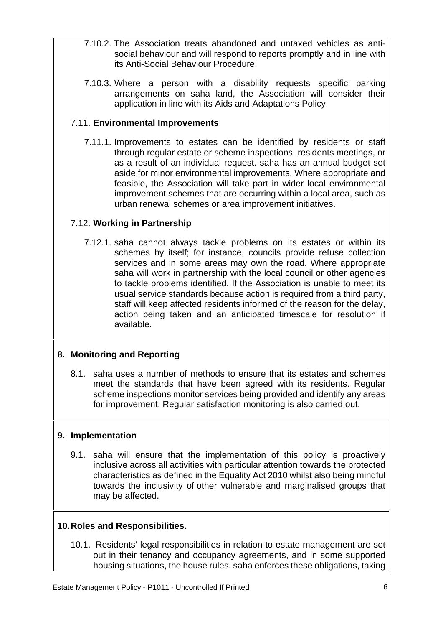- 7.10.2. The Association treats abandoned and untaxed vehicles as antisocial behaviour and will respond to reports promptly and in line with its Anti-Social Behaviour Procedure.
- 7.10.3. Where a person with a disability requests specific parking arrangements on saha land, the Association will consider their application in line with its Aids and Adaptations Policy.

#### 7.11. **Environmental Improvements**

7.11.1. Improvements to estates can be identified by residents or staff through regular estate or scheme inspections, residents meetings, or as a result of an individual request. saha has an annual budget set aside for minor environmental improvements. Where appropriate and feasible, the Association will take part in wider local environmental improvement schemes that are occurring within a local area, such as urban renewal schemes or area improvement initiatives.

## 7.12. **Working in Partnership**

7.12.1. saha cannot always tackle problems on its estates or within its schemes by itself; for instance, councils provide refuse collection services and in some areas may own the road. Where appropriate saha will work in partnership with the local council or other agencies to tackle problems identified. If the Association is unable to meet its usual service standards because action is required from a third party, staff will keep affected residents informed of the reason for the delay, action being taken and an anticipated timescale for resolution if available.

## **8. Monitoring and Reporting**

8.1. saha uses a number of methods to ensure that its estates and schemes meet the standards that have been agreed with its residents. Regular scheme inspections monitor services being provided and identify any areas for improvement. Regular satisfaction monitoring is also carried out.

#### **9. Implementation**

9.1. saha will ensure that the implementation of this policy is proactively inclusive across all activities with particular attention towards the protected characteristics as defined in the Equality Act 2010 whilst also being mindful towards the inclusivity of other vulnerable and marginalised groups that may be affected.

#### **10. Roles and Responsibilities.**

10.1. Residents' legal responsibilities in relation to estate management are set out in their tenancy and occupancy agreements, and in some supported housing situations, the house rules. saha enforces these obligations, taking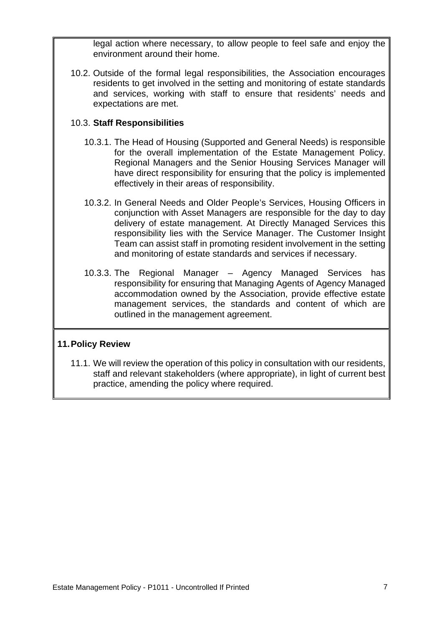legal action where necessary, to allow people to feel safe and enjoy the environment around their home.

10.2. Outside of the formal legal responsibilities, the Association encourages residents to get involved in the setting and monitoring of estate standards and services, working with staff to ensure that residents' needs and expectations are met.

#### 10.3. **Staff Responsibilities**

- 10.3.1. The Head of Housing (Supported and General Needs) is responsible for the overall implementation of the Estate Management Policy. Regional Managers and the Senior Housing Services Manager will have direct responsibility for ensuring that the policy is implemented effectively in their areas of responsibility.
- 10.3.2. In General Needs and Older People's Services, Housing Officers in conjunction with Asset Managers are responsible for the day to day delivery of estate management. At Directly Managed Services this responsibility lies with the Service Manager. The Customer Insight Team can assist staff in promoting resident involvement in the setting and monitoring of estate standards and services if necessary.
- 10.3.3. The Regional Manager Agency Managed Services has responsibility for ensuring that Managing Agents of Agency Managed accommodation owned by the Association, provide effective estate management services, the standards and content of which are outlined in the management agreement.

#### **11. Policy Review**

11.1. We will review the operation of this policy in consultation with our residents, staff and relevant stakeholders (where appropriate), in light of current best practice, amending the policy where required.